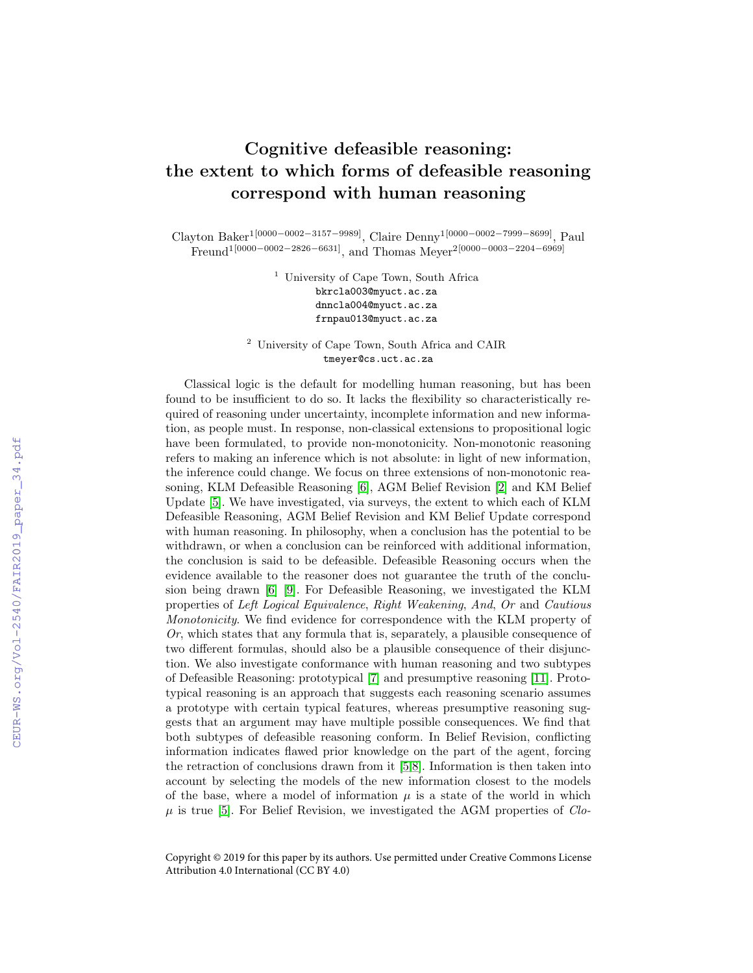# Cognitive defeasible reasoning: the extent to which forms of defeasible reasoning correspond with human reasoning

Clayton Baker1[0000−0002−3157−9989], Claire Denny1[0000−0002−7999−8699], Paul  $\text{Fremal}^{1[0000-0002-2826-6631]}, \text{ and Thomas Meyer}^{2[0000-0003-2204-6969]}$ 

> <sup>1</sup> University of Cape Town, South Africa bkrcla003@myuct.ac.za dnncla004@myuct.ac.za frnpau013@myuct.ac.za

<sup>2</sup> University of Cape Town, South Africa and CAIR tmeyer@cs.uct.ac.za

Classical logic is the default for modelling human reasoning, but has been found to be insufficient to do so. It lacks the flexibility so characteristically required of reasoning under uncertainty, incomplete information and new information, as people must. In response, non-classical extensions to propositional logic have been formulated, to provide non-monotonicity. Non-monotonic reasoning refers to making an inference which is not absolute: in light of new information, the inference could change. We focus on three extensions of non-monotonic reasoning, KLM Defeasible Reasoning [\[6\]](#page--1-0), AGM Belief Revision [\[2\]](#page--1-1) and KM Belief Update [\[5\]](#page--1-2). We have investigated, via surveys, the extent to which each of KLM Defeasible Reasoning, AGM Belief Revision and KM Belief Update correspond with human reasoning. In philosophy, when a conclusion has the potential to be withdrawn, or when a conclusion can be reinforced with additional information, the conclusion is said to be defeasible. Defeasible Reasoning occurs when the evidence available to the reasoner does not guarantee the truth of the conclusion being drawn [\[6\]](#page--1-0) [\[9\]](#page--1-3). For Defeasible Reasoning, we investigated the KLM properties of Left Logical Equivalence, Right Weakening, And, Or and Cautious Monotonicity. We find evidence for correspondence with the KLM property of  $Or$ , which states that any formula that is, separately, a plausible consequence of two different formulas, should also be a plausible consequence of their disjunction. We also investigate conformance with human reasoning and two subtypes of Defeasible Reasoning: prototypical [\[7\]](#page--1-4) and presumptive reasoning [\[11\]](#page--1-5). Prototypical reasoning is an approach that suggests each reasoning scenario assumes a prototype with certain typical features, whereas presumptive reasoning suggests that an argument may have multiple possible consequences. We find that both subtypes of defeasible reasoning conform. In Belief Revision, conflicting information indicates flawed prior knowledge on the part of the agent, forcing the retraction of conclusions drawn from it [\[5,](#page--1-2)[8\]](#page--1-6). Information is then taken into account by selecting the models of the new information closest to the models of the base, where a model of information  $\mu$  is a state of the world in which  $\mu$  is true [\[5\]](#page--1-2). For Belief Revision, we investigated the AGM properties of *Clo*-

Copyright © 2019 for this paper by its authors. Use permitted under Creative Commons License Attribution 4.0 International (CC BY 4.0)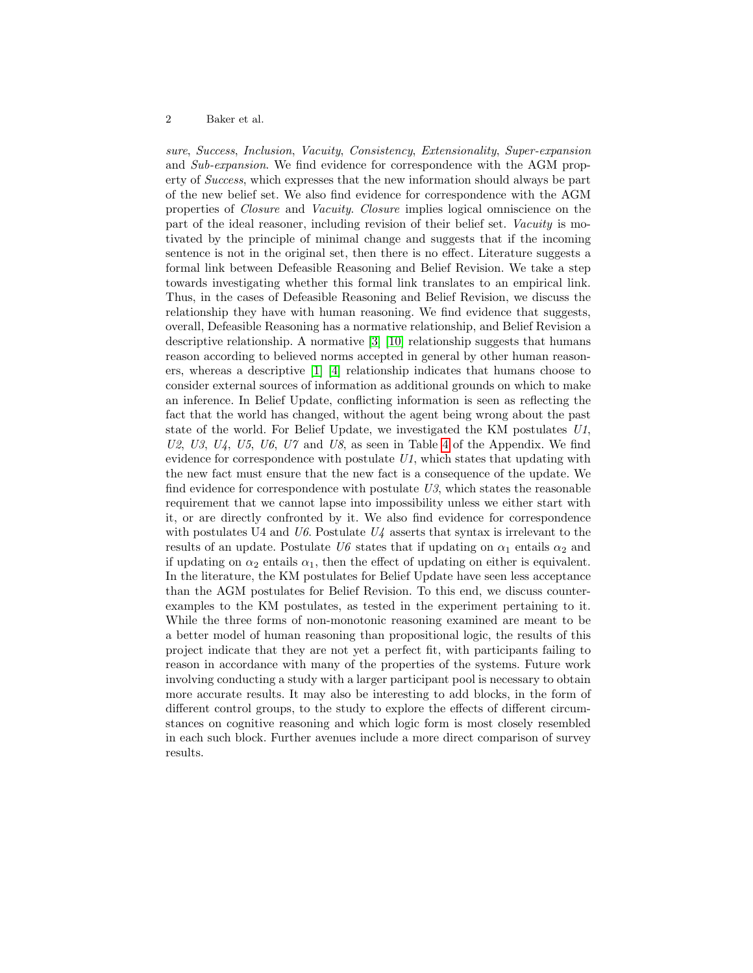#### 2 Baker et al.

sure, Success, Inclusion, Vacuity, Consistency, Extensionality, Super-expansion and Sub-expansion. We find evidence for correspondence with the AGM property of Success, which expresses that the new information should always be part of the new belief set. We also find evidence for correspondence with the AGM properties of Closure and Vacuity. Closure implies logical omniscience on the part of the ideal reasoner, including revision of their belief set. Vacuity is motivated by the principle of minimal change and suggests that if the incoming sentence is not in the original set, then there is no effect. Literature suggests a formal link between Defeasible Reasoning and Belief Revision. We take a step towards investigating whether this formal link translates to an empirical link. Thus, in the cases of Defeasible Reasoning and Belief Revision, we discuss the relationship they have with human reasoning. We find evidence that suggests, overall, Defeasible Reasoning has a normative relationship, and Belief Revision a descriptive relationship. A normative [\[3\]](#page-2-0) [\[10\]](#page-2-1) relationship suggests that humans reason according to believed norms accepted in general by other human reasoners, whereas a descriptive [\[1\]](#page-2-2) [\[4\]](#page-2-3) relationship indicates that humans choose to consider external sources of information as additional grounds on which to make an inference. In Belief Update, conflicting information is seen as reflecting the fact that the world has changed, without the agent being wrong about the past state of the world. For Belief Update, we investigated the KM postulates U1,  $U2, U3, U4, U5, U6, U7$  and  $U8$ , as seen in Table [4](#page-5-0) of the Appendix. We find evidence for correspondence with postulate U1, which states that updating with the new fact must ensure that the new fact is a consequence of the update. We find evidence for correspondence with postulate  $U3$ , which states the reasonable requirement that we cannot lapse into impossibility unless we either start with it, or are directly confronted by it. We also find evidence for correspondence with postulates U4 and  $U6$ . Postulate  $U4$  asserts that syntax is irrelevant to the results of an update. Postulate U6 states that if updating on  $\alpha_1$  entails  $\alpha_2$  and if updating on  $\alpha_2$  entails  $\alpha_1$ , then the effect of updating on either is equivalent. In the literature, the KM postulates for Belief Update have seen less acceptance than the AGM postulates for Belief Revision. To this end, we discuss counterexamples to the KM postulates, as tested in the experiment pertaining to it. While the three forms of non-monotonic reasoning examined are meant to be a better model of human reasoning than propositional logic, the results of this project indicate that they are not yet a perfect fit, with participants failing to reason in accordance with many of the properties of the systems. Future work involving conducting a study with a larger participant pool is necessary to obtain more accurate results. It may also be interesting to add blocks, in the form of different control groups, to the study to explore the effects of different circumstances on cognitive reasoning and which logic form is most closely resembled in each such block. Further avenues include a more direct comparison of survey results.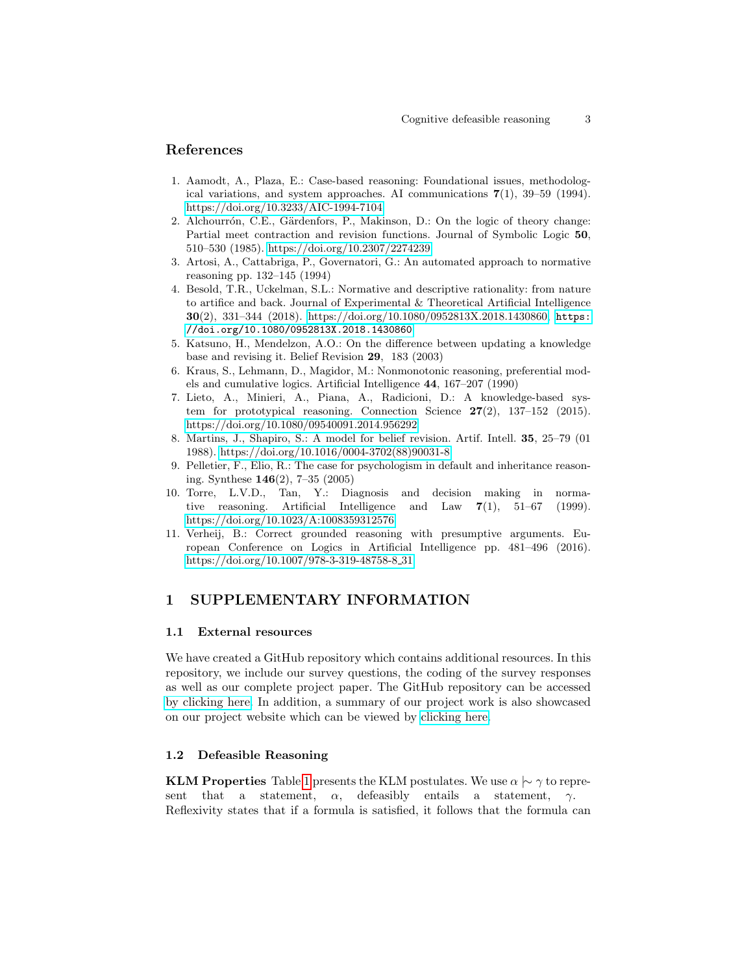# References

- <span id="page-2-2"></span>1. Aamodt, A., Plaza, E.: Case-based reasoning: Foundational issues, methodological variations, and system approaches. AI communications  $7(1)$ ,  $39-59$  (1994). <https://doi.org/10.3233/AIC-1994-7104>
- 2. Alchourrón, C.E., Gärdenfors, P., Makinson, D.: On the logic of theory change: Partial meet contraction and revision functions. Journal of Symbolic Logic 50, 510–530 (1985).<https://doi.org/10.2307/2274239>
- <span id="page-2-0"></span>3. Artosi, A., Cattabriga, P., Governatori, G.: An automated approach to normative reasoning pp. 132–145 (1994)
- <span id="page-2-3"></span>4. Besold, T.R., Uckelman, S.L.: Normative and descriptive rationality: from nature to artifice and back. Journal of Experimental & Theoretical Artificial Intelligence 30(2), 331–344 (2018). [https://doi.org/10.1080/0952813X.2018.1430860,](https://doi.org/10.1080/0952813X.2018.1430860) [https:](https://doi.org/10.1080/0952813X.2018.1430860) [//doi.org/10.1080/0952813X.2018.1430860](https://doi.org/10.1080/0952813X.2018.1430860)
- <span id="page-2-4"></span>5. Katsuno, H., Mendelzon, A.O.: On the difference between updating a knowledge base and revising it. Belief Revision 29, 183 (2003)
- 6. Kraus, S., Lehmann, D., Magidor, M.: Nonmonotonic reasoning, preferential models and cumulative logics. Artificial Intelligence 44, 167–207 (1990)
- 7. Lieto, A., Minieri, A., Piana, A., Radicioni, D.: A knowledge-based system for prototypical reasoning. Connection Science  $27(2)$ , 137–152 (2015). <https://doi.org/10.1080/09540091.2014.956292>
- 8. Martins, J., Shapiro, S.: A model for belief revision. Artif. Intell. 35, 25–79 (01 1988). [https://doi.org/10.1016/0004-3702\(88\)90031-8](https://doi.org/10.1016/0004-3702(88)90031-8)
- 9. Pelletier, F., Elio, R.: The case for psychologism in default and inheritance reasoning. Synthese 146(2), 7–35 (2005)
- <span id="page-2-1"></span>10. Torre, L.V.D., Tan, Y.: Diagnosis and decision making in normative reasoning. Artificial Intelligence and Law 7(1), 51–67 (1999). <https://doi.org/10.1023/A:1008359312576>
- 11. Verheij, B.: Correct grounded reasoning with presumptive arguments. European Conference on Logics in Artificial Intelligence pp. 481–496 (2016). [https://doi.org/10.1007/978-3-319-48758-8](https://doi.org/10.1007/978-3-319-48758-8_31) 31

# 1 SUPPLEMENTARY INFORMATION

#### 1.1 External resources

We have created a GitHub repository which contains additional resources. In this repository, we include our survey questions, the coding of the survey responses as well as our complete project paper. The GitHub repository can be accessed [by clicking here.](https://github.com/claytonbaker/CDR_FAIR_2019) In addition, a summary of our project work is also showcased on our project website which can be viewed by [clicking here.](http://projects.cs.uct.ac.za/honsproj/cgi-bin/view/2019/baker_denny_freund.zip/)

## 1.2 Defeasible Reasoning

KLM Properties Table [1](#page-3-0) presents the KLM postulates. We use  $\alpha \sim \gamma$  to represent that a statement,  $\alpha$ , defeasibly entails a statement,  $\gamma$ . Reflexivity states that if a formula is satisfied, it follows that the formula can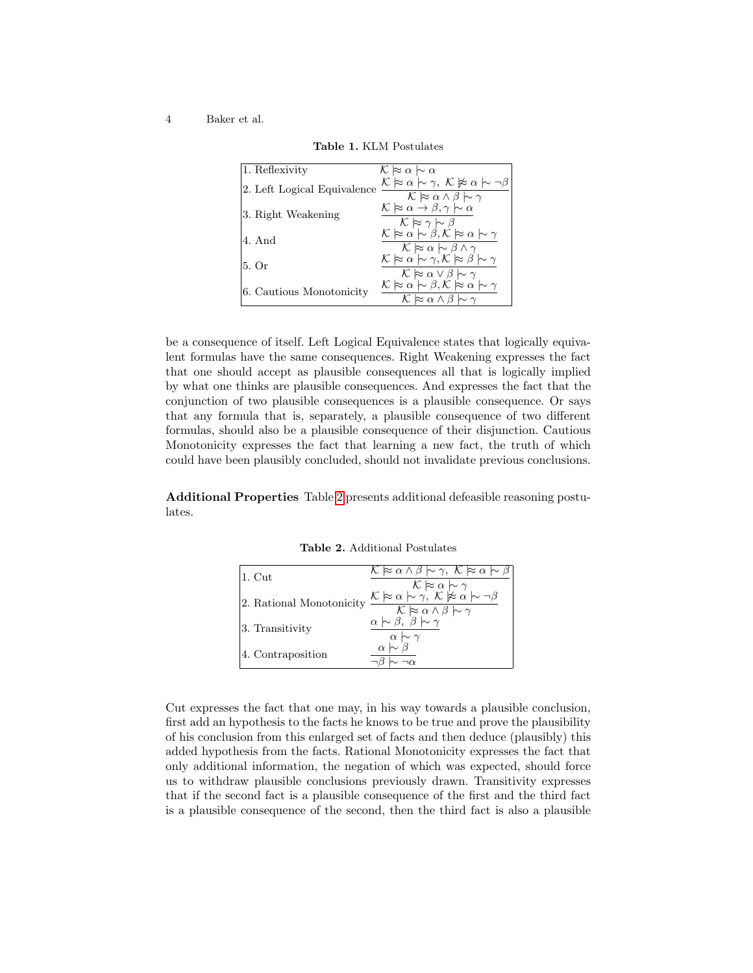#### 4 Baker et al.

| 1. Reflexivity              | $\mathcal{K} \approx \alpha \sim \alpha$                                                                                                                                                                                                                                                                                                                                                       |
|-----------------------------|------------------------------------------------------------------------------------------------------------------------------------------------------------------------------------------------------------------------------------------------------------------------------------------------------------------------------------------------------------------------------------------------|
| 2. Left Logical Equivalence | $\mathcal{K} \hspace{0.2em}\mathop{\approx}\nolimits\hspace{0.2em} \alpha \hspace{0.2em}\sim\hspace{-0.9em}\gamma, \hspace{0.2em} \mathcal{K} \hspace{0.2em}\mathop{\not{\approx}\hspace{0.5em}}\nolimits\hspace{0.2em} \alpha \hspace{0.2em}\sim\hspace{-0.9em}\mid\hspace{0.58em} \neg \beta$<br>$K \approx \alpha \wedge \beta \hspace{0.2em}\sim\hspace{-0.9em}\mid\hspace{0.58em} \gamma$ |
| 3. Right Weakening          | $\mathcal{K} \approx \alpha \rightarrow \beta, \gamma \sim \alpha$<br>$K \approx \gamma \sim \beta$                                                                                                                                                                                                                                                                                            |
| 4. And                      | $\mathcal{K} \approx \alpha \sim \beta, \mathcal{K} \approx \alpha \sim \gamma$<br>$\mathcal{K} \approx \alpha \sim \beta \wedge \gamma$                                                                                                                                                                                                                                                       |
| 5. Or                       | $\mathcal{K} \approx \alpha \sim \gamma$ , $\mathcal{K} \approx \beta \sim \gamma$<br>$\mathcal{K} \approx \alpha \vee \beta \hspace{0.2em}\sim\hspace{-0.9em}\mid\hspace{0.58em} \gamma$                                                                                                                                                                                                      |
| 6. Cautious Monotonicity    | $\mathcal{K} \approx \alpha \sim \beta, \mathcal{K} \approx \alpha \sim \gamma$<br>$\mathcal{K} \approx \alpha \wedge \beta \hspace{0.2em}\sim\hspace{-0.9em}\mid\hspace{0.58em} \gamma$                                                                                                                                                                                                       |

<span id="page-3-0"></span>Table 1. KLM Postulates

be a consequence of itself. Left Logical Equivalence states that logically equivalent formulas have the same consequences. Right Weakening expresses the fact that one should accept as plausible consequences all that is logically implied by what one thinks are plausible consequences. And expresses the fact that the conjunction of two plausible consequences is a plausible consequence. Or says that any formula that is, separately, a plausible consequence of two different formulas, should also be a plausible consequence of their disjunction. Cautious Monotonicity expresses the fact that learning a new fact, the truth of which could have been plausibly concluded, should not invalidate previous conclusions.

Additional Properties Table [2](#page-3-1) presents additional defeasible reasoning postulates.

<span id="page-3-1"></span>Table 2. Additional Postulates

|  | $ 1. \mathrm{Cut} $      | $\mathcal{K} \approx \alpha \wedge \beta \sim \gamma$ , $\mathcal{K} \approx \alpha \sim \beta$                                                        |
|--|--------------------------|--------------------------------------------------------------------------------------------------------------------------------------------------------|
|  |                          | $\mathcal{K} \approx \alpha \sim \gamma$                                                                                                               |
|  | 2. Rational Monotonicity | $\frac{\mathcal{K} \approx \alpha \sim \gamma, \ \mathcal{K} \not\models \alpha \sim \neg \beta}{\mathcal{K} \approx \alpha \wedge \beta \sim \gamma}$ |
|  |                          |                                                                                                                                                        |
|  | 3. Transitivity          | $\alpha \sim \beta, \beta \sim \gamma$                                                                                                                 |
|  |                          | $\alpha \sim \gamma$                                                                                                                                   |
|  | 4. Contraposition        | $\alpha \sim \beta$                                                                                                                                    |
|  |                          |                                                                                                                                                        |

Cut expresses the fact that one may, in his way towards a plausible conclusion, first add an hypothesis to the facts he knows to be true and prove the plausibility of his conclusion from this enlarged set of facts and then deduce (plausibly) this added hypothesis from the facts. Rational Monotonicity expresses the fact that only additional information, the negation of which was expected, should force us to withdraw plausible conclusions previously drawn. Transitivity expresses that if the second fact is a plausible consequence of the first and the third fact is a plausible consequence of the second, then the third fact is also a plausible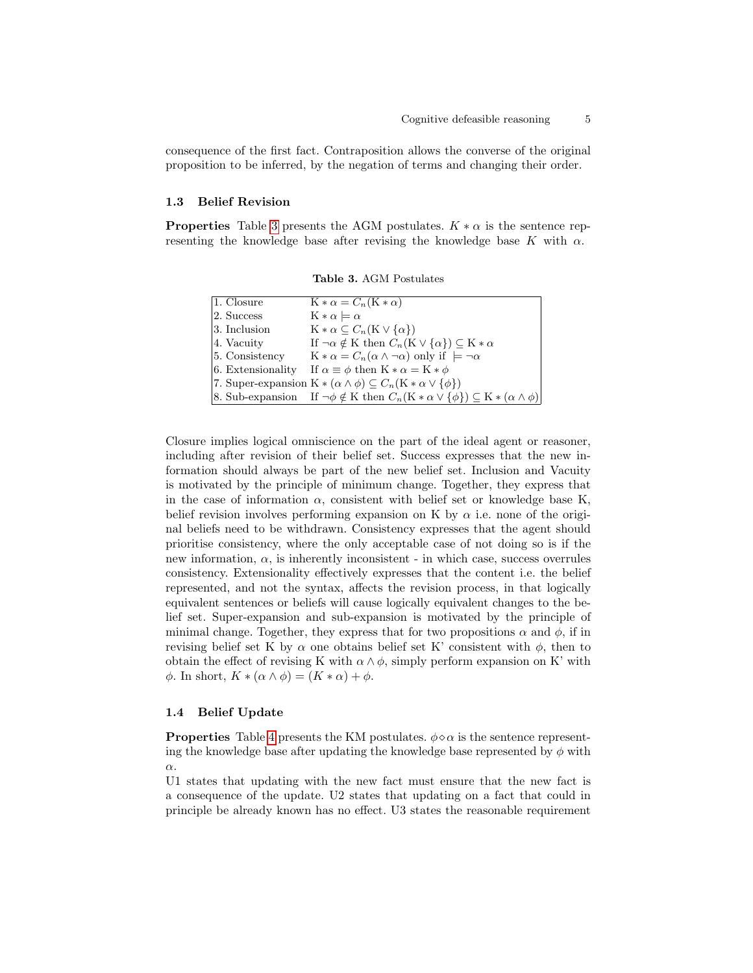consequence of the first fact. Contraposition allows the converse of the original proposition to be inferred, by the negation of terms and changing their order.

## 1.3 Belief Revision

**Properties** Table [3](#page-4-0) presents the AGM postulates.  $K * \alpha$  is the sentence representing the knowledge base after revising the knowledge base K with  $\alpha$ .

| 1. Closure        | $K * \alpha = C_n(K * \alpha)$                                                                                      |
|-------------------|---------------------------------------------------------------------------------------------------------------------|
| 2. Success        | $K * \alpha \models \alpha$                                                                                         |
| 3. Inclusion      | $\mathbf{K} * \alpha \subseteq C_n(\mathbf{K} \vee \{\alpha\})$                                                     |
| 4. Vacuity        | If $\neg \alpha \notin K$ then $C_n(K \vee {\alpha}) \subseteq K * \alpha$                                          |
| 5. Consistency    | $K * \alpha = C_n(\alpha \wedge \neg \alpha)$ only if $\models \neg \alpha$                                         |
| 6. Extensionality | If $\alpha \equiv \phi$ then $K * \alpha = K * \phi$                                                                |
|                   | 7. Super-expansion $K*(\alpha \wedge \phi) \subseteq C_n(K*\alpha \vee {\phi})$                                     |
|                   | [8. Sub-expansion If $\neg \phi \notin K$ then $C_n(K * \alpha \vee \{\phi\}) \subseteq K * (\alpha \wedge \phi)$ ] |

<span id="page-4-0"></span>Table 3. AGM Postulates

Closure implies logical omniscience on the part of the ideal agent or reasoner, including after revision of their belief set. Success expresses that the new information should always be part of the new belief set. Inclusion and Vacuity is motivated by the principle of minimum change. Together, they express that in the case of information  $\alpha$ , consistent with belief set or knowledge base K, belief revision involves performing expansion on K by  $\alpha$  i.e. none of the original beliefs need to be withdrawn. Consistency expresses that the agent should prioritise consistency, where the only acceptable case of not doing so is if the new information,  $\alpha$ , is inherently inconsistent - in which case, success overrules consistency. Extensionality effectively expresses that the content i.e. the belief represented, and not the syntax, affects the revision process, in that logically equivalent sentences or beliefs will cause logically equivalent changes to the belief set. Super-expansion and sub-expansion is motivated by the principle of minimal change. Together, they express that for two propositions  $\alpha$  and  $\phi$ , if in revising belief set K by  $\alpha$  one obtains belief set K' consistent with  $\phi$ , then to obtain the effect of revising K with  $\alpha \wedge \phi$ , simply perform expansion on K' with  $\phi$ . In short,  $K * (\alpha \wedge \phi) = (K * \alpha) + \phi$ .

### 1.4 Belief Update

**Properties** Table [4](#page-5-0) presents the KM postulates.  $\phi \circ \alpha$  is the sentence representing the knowledge base after updating the knowledge base represented by  $\phi$  with α.

U1 states that updating with the new fact must ensure that the new fact is a consequence of the update. U2 states that updating on a fact that could in principle be already known has no effect. U3 states the reasonable requirement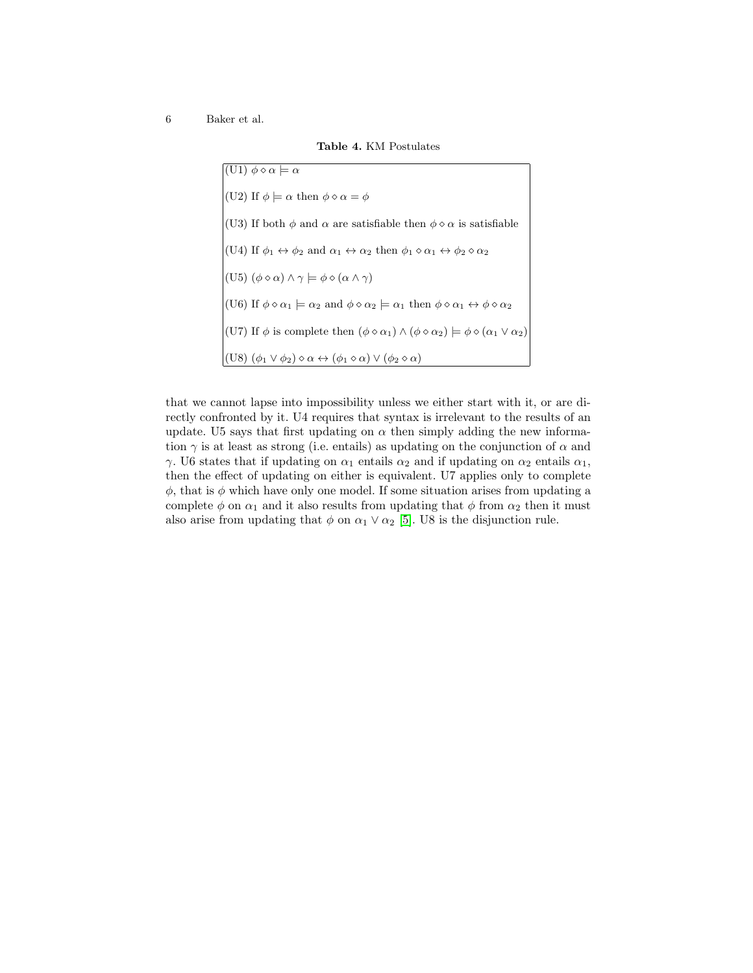6 Baker et al.

<span id="page-5-0"></span>Table 4. KM Postulates

| $\vert$ (U1) $\phi \diamond \alpha \vert = \alpha$                                                                                                       |
|----------------------------------------------------------------------------------------------------------------------------------------------------------|
| (U2) If $\phi \models \alpha$ then $\phi \diamond \alpha = \phi$                                                                                         |
| (U3) If both $\phi$ and $\alpha$ are satisfiable then $\phi \diamond \alpha$ is satisfiable                                                              |
| (U4) If $\phi_1 \leftrightarrow \phi_2$ and $\alpha_1 \leftrightarrow \alpha_2$ then $\phi_1 \diamond \alpha_1 \leftrightarrow \phi_2 \diamond \alpha_2$ |
| $ (U5) (\phi \diamond \alpha) \wedge \gamma \models \phi \diamond (\alpha \wedge \gamma)$                                                                |
| (U6) If $\phi \circ \alpha_1 \models \alpha_2$ and $\phi \circ \alpha_2 \models \alpha_1$ then $\phi \circ \alpha_1 \leftrightarrow \phi \circ \alpha_2$ |
| (U7) If $\phi$ is complete then $(\phi \diamond \alpha_1) \wedge (\phi \diamond \alpha_2) \models \phi \diamond (\alpha_1 \vee \alpha_2)$                |
| $ (U8) (\phi_1 \vee \phi_2) \diamond \alpha \leftrightarrow (\phi_1 \diamond \alpha) \vee (\phi_2 \diamond \alpha)$                                      |

that we cannot lapse into impossibility unless we either start with it, or are directly confronted by it. U4 requires that syntax is irrelevant to the results of an update. U5 says that first updating on  $\alpha$  then simply adding the new information  $\gamma$  is at least as strong (i.e. entails) as updating on the conjunction of  $\alpha$  and γ. U6 states that if updating on  $\alpha_1$  entails  $\alpha_2$  and if updating on  $\alpha_2$  entails  $\alpha_1$ , then the effect of updating on either is equivalent. U7 applies only to complete  $\phi$ , that is  $\phi$  which have only one model. If some situation arises from updating a complete  $\phi$  on  $\alpha_1$  and it also results from updating that  $\phi$  from  $\alpha_2$  then it must also arise from updating that  $\phi$  on  $\alpha_1 \vee \alpha_2$  [\[5\]](#page-2-4). U8 is the disjunction rule.